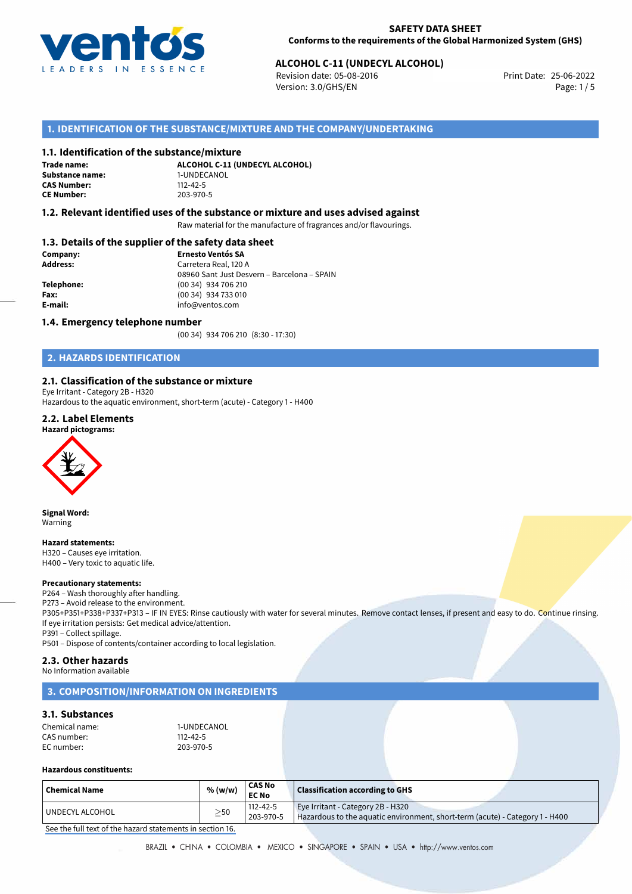

# **ALCOHOL C-11 (UNDECYL ALCOHOL)**<br>
Revision date: 05-08-2016<br>
Print Date: 25-06-2022

Revision date: 05-08-2016 Version: 3.0/GHS/EN Page: 1/5

# **1. IDENTIFICATION OF THE SUBSTANCE/MIXTURE AND THE COMPANY/UNDERTAKING**

### **1.1. Identification of the substance/mixture**

**Trade name: Substance name:** 1-UNDECANOL<br> **CAS Number:** 112-42-5 **CAS Number: CE Number:** 203-970-5

**ALCOHOL C-11 (UNDECYL ALCOHOL)**

### **1.2. Relevant identified uses of the substance or mixture and uses advised against**

Raw material for the manufacture of fragrances and/or flavourings.

### **1.3. Details of the supplier of the safety data sheet**

| Company:        | <b>Ernesto Ventós SA</b>                    |  |  |  |
|-----------------|---------------------------------------------|--|--|--|
| <b>Address:</b> | Carretera Real, 120 A                       |  |  |  |
|                 | 08960 Sant Just Desvern - Barcelona - SPAIN |  |  |  |
| Telephone:      | (00 34) 934 706 210                         |  |  |  |
| Fax:            | (00 34) 934 733 010                         |  |  |  |
| E-mail:         | info@ventos.com                             |  |  |  |
|                 |                                             |  |  |  |

### **1.4. Emergency telephone number**

(00 34) 934 706 210 (8:30 - 17:30)

# **2. HAZARDS IDENTIFICATION**

## **2.1. Classification of the substance or mixture**

Eye Irritant - Category 2B - H320 Hazardous to the aquatic environment, short-term (acute) - Category 1 - H400

### **2.2. Label Elements**





**Signal Word:** Warning

#### **Hazard statements:**

H320 – Causes eye irritation. H400 – Very toxic to aquatic life.

#### **Precautionary statements:**

P264 – Wash thoroughly after handling. P273 – Avoid release to the environment. P305+P351+P338+P337+P313 – IF IN EYES: Rinse cautiously with water for several minutes. Remove contact lenses, if present and easy to do. Continue rinsing.

If eye irritation persists: Get medical advice/attention. P391 – Collect spillage.

P501 – Dispose of contents/container according to local legislation.

### **2.3. Other hazards**

No Information available

## **3. COMPOSITION/INFORMATION ON INGREDIENTS**

## **3.1. Substances**

| Chemical name: | 1-UNDECANOL    |
|----------------|----------------|
| CAS number:    | $112 - 42 - 5$ |
| EC number:     | 203-970-5      |

#### **Hazardous constituents:**

| <b>Chemical Name</b> | % (w/w)   | CAS No<br><b>EC No</b>      | <b>Classification according to GHS</b>                                                                            |
|----------------------|-----------|-----------------------------|-------------------------------------------------------------------------------------------------------------------|
| ! UNDECYL ALCOHOL    | $\geq$ 50 | $112 - 42 - 5$<br>203-970-5 | Eye Irritant - Category 2B - H320<br>Hazardous to the aquatic environment, short-term (acute) - Category 1 - H400 |

[See the full text of the hazard statements in section 16.](#page--1-0)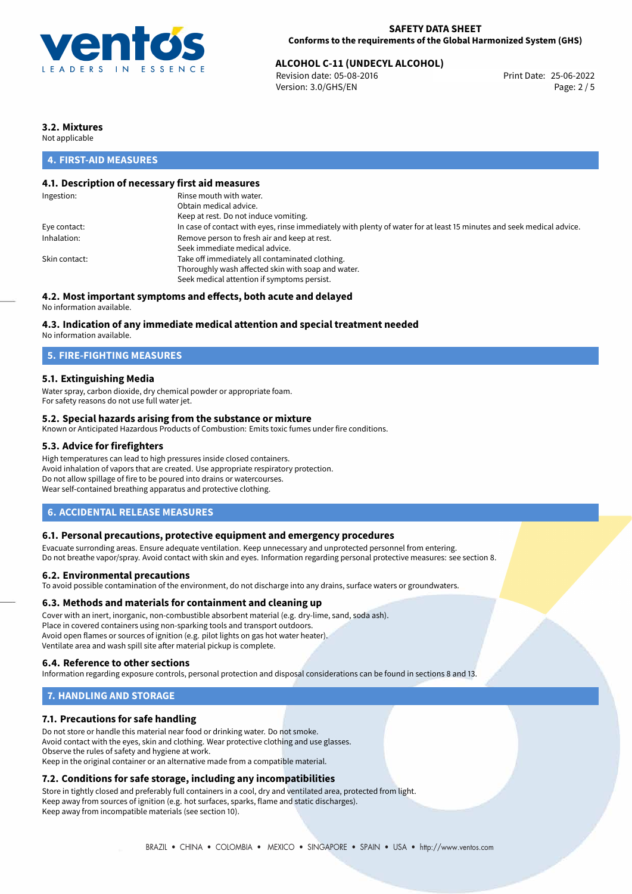

# **ALCOHOL C-11 (UNDECYL ALCOHOL)**<br>
Revision date: 05-08-2016<br>
Print Date: 25-06-2022

Revision date: 05-08-2016 Version: 3.0/GHS/EN Page: 2 / 5

# **3.2. Mixtures**

Not applicable

# **4. FIRST-AID MEASURES**

## **4.1. Description of necessary first aid measures**

| Ingestion:    | Rinse mouth with water.                                                                                               |
|---------------|-----------------------------------------------------------------------------------------------------------------------|
|               | Obtain medical advice.                                                                                                |
|               | Keep at rest. Do not induce vomiting.                                                                                 |
| Eye contact:  | In case of contact with eyes, rinse immediately with plenty of water for at least 15 minutes and seek medical advice. |
| Inhalation:   | Remove person to fresh air and keep at rest.                                                                          |
|               | Seek immediate medical advice.                                                                                        |
| Skin contact: | Take off immediately all contaminated clothing.                                                                       |
|               | Thoroughly wash affected skin with soap and water.                                                                    |
|               | Seek medical attention if symptoms persist.                                                                           |
|               |                                                                                                                       |

# **4.2. Most important symptoms and effects, both acute and delayed**

No information available.

## **4.3. Indication of any immediate medical attention and special treatment needed**

No information available.

## **5. FIRE-FIGHTING MEASURES**

## **5.1. Extinguishing Media**

Water spray, carbon dioxide, dry chemical powder or appropriate foam. For safety reasons do not use full water jet.

## **5.2. Special hazards arising from the substance or mixture**

Known or Anticipated Hazardous Products of Combustion: Emits toxic fumes under fire conditions.

### **5.3. Advice for firefighters**

High temperatures can lead to high pressures inside closed containers. Avoid inhalation of vapors that are created. Use appropriate respiratory protection. Do not allow spillage of fire to be poured into drains or watercourses. Wear self-contained breathing apparatus and protective clothing.

## **6. ACCIDENTAL RELEASE MEASURES**

### **6.1. Personal precautions, protective equipment and emergency procedures**

Evacuate surronding areas. Ensure adequate ventilation. Keep unnecessary and unprotected personnel from entering. Do not breathe vapor/spray. Avoid contact with skin and eyes. Information regarding personal protective measures: see section 8.

### **6.2. Environmental precautions**

To avoid possible contamination of the environment, do not discharge into any drains, surface waters or groundwaters.

### **6.3. Methods and materials for containment and cleaning up**

Cover with an inert, inorganic, non-combustible absorbent material (e.g. dry-lime, sand, soda ash). Place in covered containers using non-sparking tools and transport outdoors. Avoid open flames or sources of ignition (e.g. pilot lights on gas hot water heater). Ventilate area and wash spill site after material pickup is complete.

## **6.4. Reference to other sections**

Information regarding exposure controls, personal protection and disposal considerations can be found in sections 8 and 13.

# **7. HANDLING AND STORAGE**

## **7.1. Precautions for safe handling**

Do not store or handle this material near food or drinking water. Do not smoke. Avoid contact with the eyes, skin and clothing. Wear protective clothing and use glasses. Observe the rules of safety and hygiene at work. Keep in the original container or an alternative made from a compatible material.

# **7.2. Conditions for safe storage, including any incompatibilities**

Store in tightly closed and preferably full containers in a cool, dry and ventilated area, protected from light. Keep away from sources of ignition (e.g. hot surfaces, sparks, flame and static discharges). Keep away from incompatible materials (see section 10).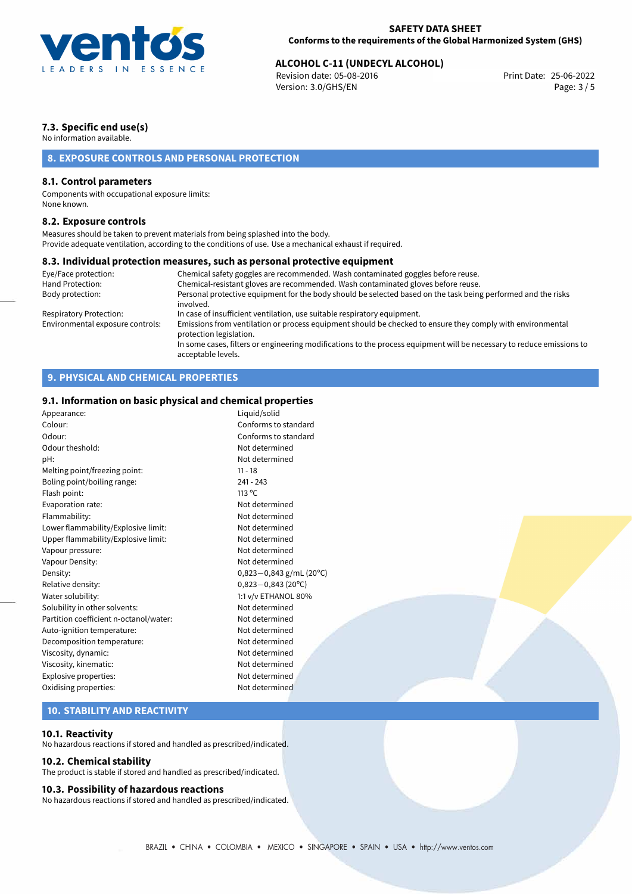

# **ALCOHOL C-11 (UNDECYL ALCOHOL)**<br>
Revision date: 05-08-2016<br>
Print Date: 25-06-2022

Revision date: 05-08-2016 Version: 3.0/GHS/EN Page: 3 / 5

# **7.3. Specific end use(s)**

No information available.

# **8. EXPOSURE CONTROLS AND PERSONAL PROTECTION**

## **8.1. Control parameters**

Components with occupational exposure limits: None known.

### **8.2. Exposure controls**

Measures should be taken to prevent materials from being splashed into the body. Provide adequate ventilation, according to the conditions of use. Use a mechanical exhaust if required.

### **8.3. Individual protection measures, such as personal protective equipment**

acceptable levels.

| Chemical safety goggles are recommended. Wash contaminated goggles before reuse.                                                      |
|---------------------------------------------------------------------------------------------------------------------------------------|
| Chemical-resistant gloves are recommended. Wash contaminated gloves before reuse.                                                     |
| Personal protective equipment for the body should be selected based on the task being performed and the risks<br>involved.            |
| In case of insufficient ventilation, use suitable respiratory equipment.                                                              |
| Emissions from ventilation or process equipment should be checked to ensure they comply with environmental<br>protection legislation. |
| In some cases, filters or engineering modifications to the process equipment will be necessary to reduce emissions to                 |
|                                                                                                                                       |

# **9. PHYSICAL AND CHEMICAL PROPERTIES**

# **9.1. Information on basic physical and chemical properties**

| 9111 1111011111011011 011 IVAJIS PITYJISAS ANA SHSHIISAS PEOPSESISJ |                           |  |
|---------------------------------------------------------------------|---------------------------|--|
| Appearance:                                                         | Liquid/solid              |  |
| Colour:                                                             | Conforms to standard      |  |
| Odour:                                                              | Conforms to standard      |  |
| Odour theshold:                                                     | Not determined            |  |
| pH:                                                                 | Not determined            |  |
| Melting point/freezing point:                                       | $11 - 18$                 |  |
| Boling point/boiling range:                                         | $241 - 243$               |  |
| Flash point:                                                        | 113 °C                    |  |
| Evaporation rate:                                                   | Not determined            |  |
| Flammability:                                                       | Not determined            |  |
| Lower flammability/Explosive limit:                                 | Not determined            |  |
| Upper flammability/Explosive limit:                                 | Not determined            |  |
| Vapour pressure:                                                    | Not determined            |  |
| Vapour Density:                                                     | Not determined            |  |
| Density:                                                            | $0,823-0,843$ g/mL (20°C) |  |
| Relative density:                                                   | $0,823 - 0,843$ (20°C)    |  |
| Water solubility:                                                   | 1:1 v/v ETHANOL 80%       |  |
| Solubility in other solvents:                                       | Not determined            |  |
| Partition coefficient n-octanol/water:                              | Not determined            |  |
| Auto-ignition temperature:                                          | Not determined            |  |
| Decomposition temperature:                                          | Not determined            |  |
| Viscosity, dynamic:                                                 | Not determined            |  |
| Viscosity, kinematic:                                               | Not determined            |  |
| Explosive properties:                                               | Not determined            |  |
| Oxidising properties:                                               | Not determined            |  |
|                                                                     |                           |  |

# **10. STABILITY AND REACTIVITY**

### **10.1. Reactivity**

No hazardous reactions if stored and handled as prescribed/indicated.

### **10.2. Chemical stability**

The product is stable if stored and handled as prescribed/indicated.

### **10.3. Possibility of hazardous reactions**

No hazardous reactions if stored and handled as prescribed/indicated.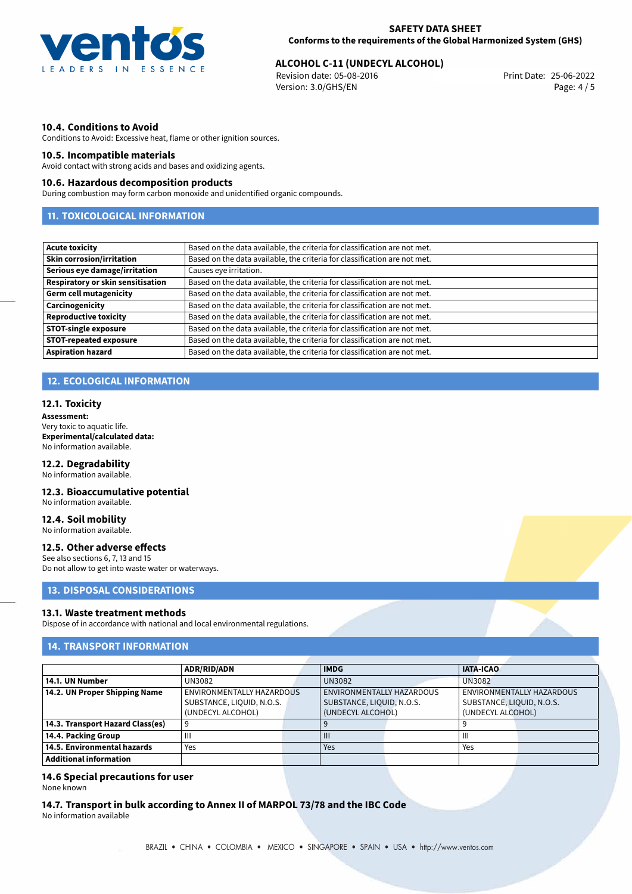

# **ALCOHOL C-11 (UNDECYL ALCOHOL)**<br>
Revision date: 05-08-2016<br>
Print Date: 25-06-2022

Revision date: 05-08-2016 Version: 3.0/GHS/EN Page: 4 / 5

## **10.4. Conditions to Avoid**

Conditions to Avoid: Excessive heat, flame or other ignition sources.

### **10.5. Incompatible materials**

Avoid contact with strong acids and bases and oxidizing agents.

### **10.6. Hazardous decomposition products**

During combustion may form carbon monoxide and unidentified organic compounds.

# **11. TOXICOLOGICAL INFORMATION**

| <b>Acute toxicity</b>                    | Based on the data available, the criteria for classification are not met. |
|------------------------------------------|---------------------------------------------------------------------------|
| <b>Skin corrosion/irritation</b>         | Based on the data available, the criteria for classification are not met. |
| Serious eye damage/irritation            | Causes eye irritation.                                                    |
| <b>Respiratory or skin sensitisation</b> | Based on the data available, the criteria for classification are not met. |
| <b>Germ cell mutagenicity</b>            | Based on the data available, the criteria for classification are not met. |
| Carcinogenicity                          | Based on the data available, the criteria for classification are not met. |
| <b>Reproductive toxicity</b>             | Based on the data available, the criteria for classification are not met. |
| <b>STOT-single exposure</b>              | Based on the data available, the criteria for classification are not met. |
| <b>STOT-repeated exposure</b>            | Based on the data available, the criteria for classification are not met. |
| <b>Aspiration hazard</b>                 | Based on the data available, the criteria for classification are not met. |

# **12. ECOLOGICAL INFORMATION**

#### **12.1. Toxicity**

**Assessment:** Very toxic to aquatic life. **Experimental/calculated data:** No information available.

### **12.2. Degradability**

No information available.

# **12.3. Bioaccumulative potential**

No information available.

# **12.4. Soil mobility**

No information available.

### **12.5. Other adverse effects**

See also sections 6, 7, 13 and 15 Do not allow to get into waste water or waterways.

## **13. DISPOSAL CONSIDERATIONS**

#### **13.1. Waste treatment methods**

Dispose of in accordance with national and local environmental regulations.

# **14. TRANSPORT INFORMATION**

|                                  | <b>ADR/RID/ADN</b>                                                          |  | <b>IMDG</b>                                                                        |  | <b>IATA-ICAO</b>                                                            |  |
|----------------------------------|-----------------------------------------------------------------------------|--|------------------------------------------------------------------------------------|--|-----------------------------------------------------------------------------|--|
| 14.1. UN Number                  | UN3082                                                                      |  | <b>UN3082</b>                                                                      |  | <b>UN3082</b>                                                               |  |
| 14.2. UN Proper Shipping Name    | ENVIRONMENTALLY HAZARDOUS<br>SUBSTANCE, LIQUID, N.O.S.<br>(UNDECYL ALCOHOL) |  | <b>ENVIRONMENTALLY HAZARDOUS</b><br>SUBSTANCE, LIQUID, N.O.S.<br>(UNDECYL ALCOHOL) |  | ENVIRONMENTALLY HAZARDOUS<br>SUBSTANCE, LIQUID, N.O.S.<br>(UNDECYL ALCOHOL) |  |
| 14.3. Transport Hazard Class(es) |                                                                             |  |                                                                                    |  |                                                                             |  |
| 14.4. Packing Group              | Ш                                                                           |  | $\mathbf{III}$                                                                     |  | Ш                                                                           |  |
| 14.5. Environmental hazards      | Yes                                                                         |  | Yes                                                                                |  | Yes                                                                         |  |
| <b>Additional information</b>    |                                                                             |  |                                                                                    |  |                                                                             |  |

## **14.6 Special precautions for user**

None known

**14.7. Transport in bulk according to Annex II of MARPOL 73/78 and the IBC Code** No information available